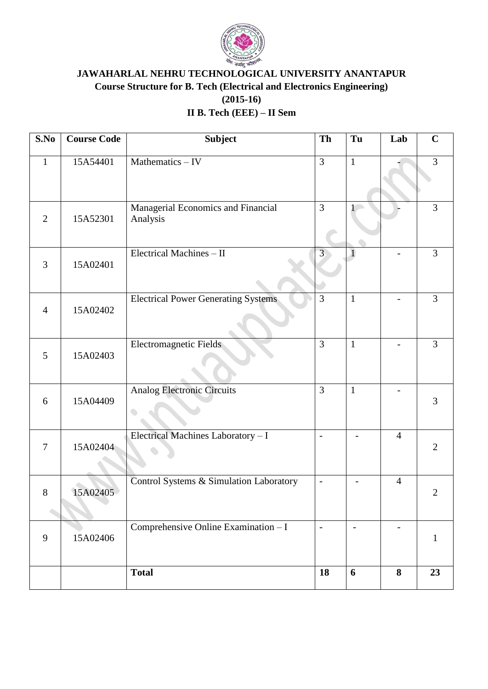

# **JAWAHARLAL NEHRU TECHNOLOGICAL UNIVERSITY ANANTAPUR Course Structure for B. Tech (Electrical and Electronics Engineering) (2015-16) II B. Tech (EEE) – II Sem**

| S.No           | <b>Course Code</b> | <b>Subject</b>                                 | Th                       | Tu             | Lab            | $\mathbf C$    |
|----------------|--------------------|------------------------------------------------|--------------------------|----------------|----------------|----------------|
| $\mathbf{1}$   | 15A54401           | Mathematics - IV                               | 3                        | $\mathbf{1}$   |                | 3              |
| $\overline{2}$ | 15A52301           | Managerial Economics and Financial<br>Analysis | $\overline{3}$           | 1              |                | 3              |
| 3              | 15A02401           | Electrical Machines - II                       | $\overline{3}$           |                |                | 3              |
| $\overline{4}$ | 15A02402           | <b>Electrical Power Generating Systems</b>     | 3                        | $\mathbf{1}$   |                | 3              |
| 5              | 15A02403           | <b>Electromagnetic Fields</b>                  | $\overline{3}$           | $\mathbf{1}$   |                | $\overline{3}$ |
| 6              | 15A04409           | <b>Analog Electronic Circuits</b>              | $\overline{3}$           | $\mathbf{1}$   |                | 3              |
| $\tau$         | 15A02404           | Electrical Machines Laboratory - I             | $\overline{a}$           | $\overline{a}$ | $\overline{4}$ | $\overline{2}$ |
| 8              | 15A02405           | Control Systems & Simulation Laboratory        | $\overline{\phantom{a}}$ |                | $\overline{4}$ | $\overline{2}$ |
| 9              | 15A02406           | Comprehensive Online Examination - I           | $\overline{\phantom{a}}$ |                |                | $\mathbf{1}$   |
|                |                    | <b>Total</b>                                   | 18                       | 6              | 8              | 23             |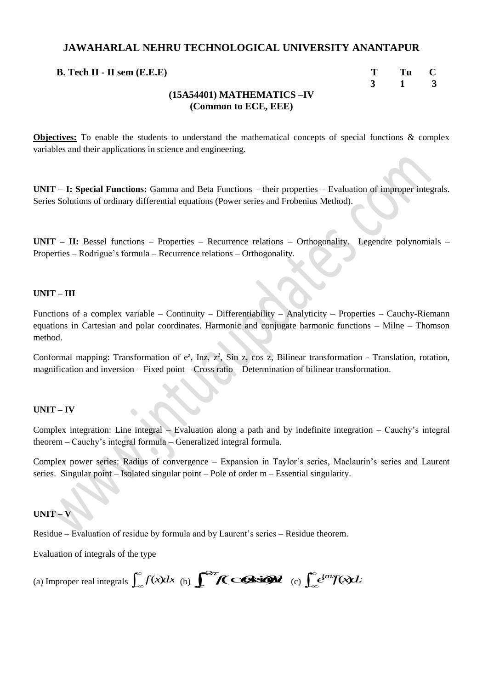| <b>B.</b> Tech II - II sem $(E.E.E)$ | T Tu C        |  |
|--------------------------------------|---------------|--|
|                                      | $3 \t 1 \t 3$ |  |
| $(15\lambda 54401)$ MATHEMATICS TV   |               |  |

#### **(15A54401) MATHEMATICS –IV (Common to ECE, EEE)**

**Objectives:** To enable the students to understand the mathematical concepts of special functions & complex variables and their applications in science and engineering.

**UNIT – I: Special Functions:** Gamma and Beta Functions – their properties – Evaluation of improper integrals. Series Solutions of ordinary differential equations (Power series and Frobenius Method).

**UNIT – II:** Bessel functions – Properties – Recurrence relations – Orthogonality. Legendre polynomials – Properties – Rodrigue's formula – Recurrence relations – Orthogonality.

#### **UNIT – III**

Functions of a complex variable – Continuity – Differentiability – Analyticity – Properties – Cauchy-Riemann equations in Cartesian and polar coordinates. Harmonic and conjugate harmonic functions – Milne – Thomson method.

Conformal mapping: Transformation of  $e^z$ , Inz,  $z^2$ , Sin z, cos z, Bilinear transformation - Translation, rotation, magnification and inversion – Fixed point – Cross ratio – Determination of bilinear transformation.

#### **UNIT – IV**

Complex integration: Line integral – Evaluation along a path and by indefinite integration – Cauchy's integral theorem – Cauchy's integral formula – Generalized integral formula.

Complex power series: Radius of convergence – Expansion in Taylor's series, Maclaurin's series and Laurent series. Singular point – Isolated singular point – Pole of order m – Essential singularity.

#### **UNIT – V**

Residue – Evaluation of residue by formula and by Laurent's series – Residue theorem.

Evaluation of integrals of the type

(a) Improper real integrals  $\int_{-\infty}^{\infty} f(x) dx$  (b)  $\int_{-\infty}^{\infty} f(x) dx$  (c)  $\int_{-\infty}^{\infty} e^{imx} f(x) dx$  $\int_{c}^{2\pi} f(c) s d\theta d\theta$  (c)  $\int_{c}^{c} e^{imx} f(x) dx$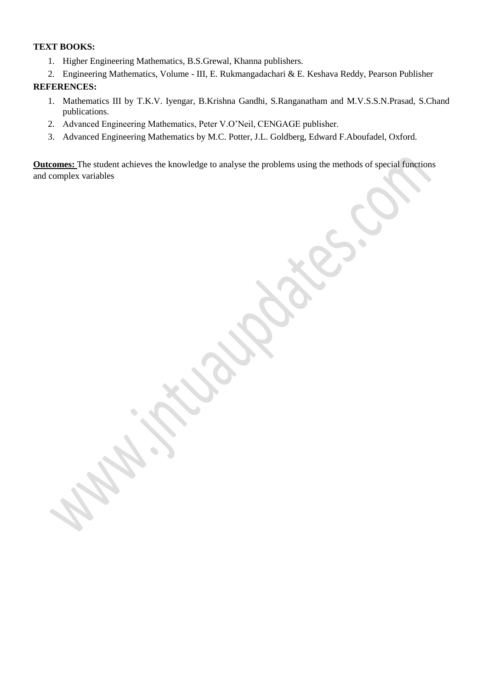#### **TEXT BOOKS:**

- 1. Higher Engineering Mathematics, B.S.Grewal, Khanna publishers.
- 2. Engineering Mathematics, Volume III, E. Rukmangadachari & E. Keshava Reddy, Pearson Publisher

#### **REFERENCES:**

- 1. Mathematics III by T.K.V. Iyengar, B.Krishna Gandhi, S.Ranganatham and M.V.S.S.N.Prasad, S.Chand publications.
- 2. Advanced Engineering Mathematics, Peter V.O'Neil, CENGAGE publisher.
- 3. Advanced Engineering Mathematics by M.C. Potter, J.L. Goldberg, Edward F.Aboufadel, Oxford.

**Outcomes:** The student achieves the knowledge to analyse the problems using the methods of special functions and complex variables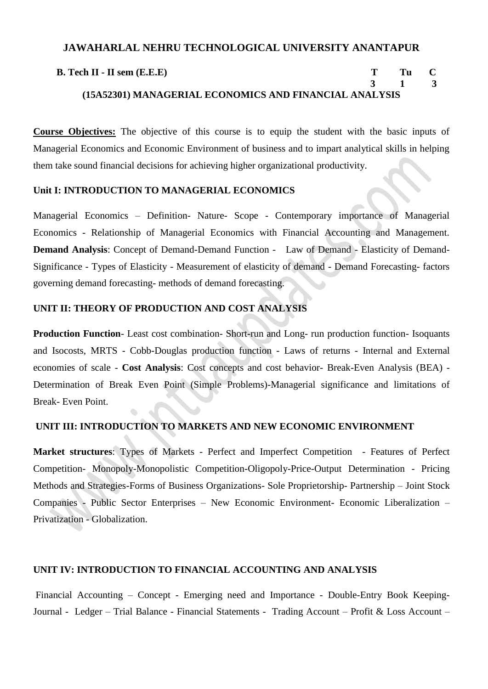| <b>B.</b> Tech $II$ - $II$ sem $(E.E.E)$               | - Tullio C |  |
|--------------------------------------------------------|------------|--|
|                                                        | 3 1 3      |  |
| (15A52301) MANAGERIAL ECONOMICS AND FINANCIAL ANALYSIS |            |  |

**Course Objectives:** The objective of this course is to equip the student with the basic inputs of Managerial Economics and Economic Environment of business and to impart analytical skills in helping them take sound financial decisions for achieving higher organizational productivity.

#### **Unit I: INTRODUCTION TO MANAGERIAL ECONOMICS**

Managerial Economics – Definition- Nature- Scope - Contemporary importance of Managerial Economics - Relationship of Managerial Economics with Financial Accounting and Management. **Demand Analysis**: Concept of Demand-Demand Function - Law of Demand - Elasticity of Demand-Significance - Types of Elasticity - Measurement of elasticity of demand - Demand Forecasting- factors governing demand forecasting- methods of demand forecasting.

## **UNIT II: THEORY OF PRODUCTION AND COST ANALYSIS**

**Production Function**- Least cost combination- Short-run and Long- run production function- Isoquants and Isocosts, MRTS - Cobb-Douglas production function - Laws of returns - Internal and External economies of scale - **Cost Analysis**: Cost concepts and cost behavior- Break-Even Analysis (BEA) - Determination of Break Even Point (Simple Problems)-Managerial significance and limitations of Break- Even Point.

## **UNIT III: INTRODUCTION TO MARKETS AND NEW ECONOMIC ENVIRONMENT**

**Market structures**: Types of Markets - Perfect and Imperfect Competition - Features of Perfect Competition- Monopoly-Monopolistic Competition-Oligopoly-Price-Output Determination - Pricing Methods and Strategies-Forms of Business Organizations- Sole Proprietorship- Partnership – Joint Stock Companies - Public Sector Enterprises – New Economic Environment- Economic Liberalization – Privatization - Globalization.

#### **UNIT IV: INTRODUCTION TO FINANCIAL ACCOUNTING AND ANALYSIS**

Financial Accounting – Concept - Emerging need and Importance - Double-Entry Book Keeping-Journal - Ledger – Trial Balance - Financial Statements - Trading Account – Profit & Loss Account –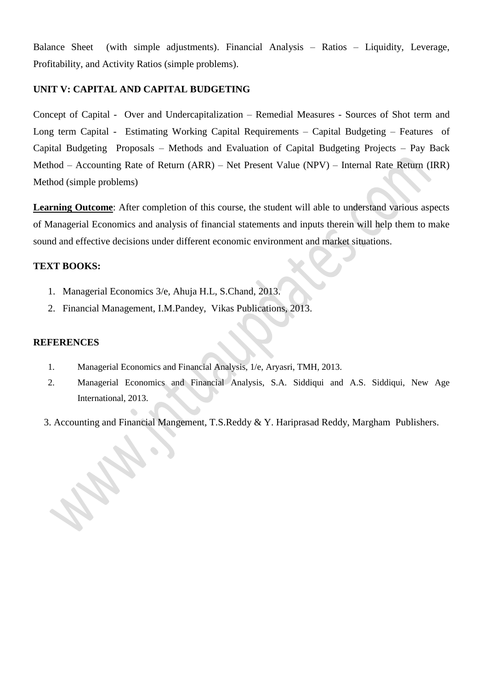Balance Sheet (with simple adjustments). Financial Analysis – Ratios – Liquidity, Leverage, Profitability, and Activity Ratios (simple problems).

#### **UNIT V: CAPITAL AND CAPITAL BUDGETING**

Concept of Capital - Over and Undercapitalization – Remedial Measures - Sources of Shot term and Long term Capital - Estimating Working Capital Requirements – Capital Budgeting – Features of Capital Budgeting Proposals – Methods and Evaluation of Capital Budgeting Projects – Pay Back Method – Accounting Rate of Return (ARR) – Net Present Value (NPV) – Internal Rate Return (IRR) Method (simple problems)

**Learning Outcome**: After completion of this course, the student will able to understand various aspects of Managerial Economics and analysis of financial statements and inputs therein will help them to make sound and effective decisions under different economic environment and market situations.

## **TEXT BOOKS:**

- 1. Managerial Economics 3/e, Ahuja H.L, S.Chand, 2013.
- 2. Financial Management, I.M.Pandey, Vikas Publications, 2013.

#### **REFERENCES**

- 1. Managerial Economics and Financial Analysis, 1/e, Aryasri, TMH, 2013.
- 2. Managerial Economics and Financial Analysis, S.A. Siddiqui and A.S. Siddiqui, New Age International, 2013.

3. Accounting and Financial Mangement, T.S.Reddy & Y. Hariprasad Reddy, Margham Publishers.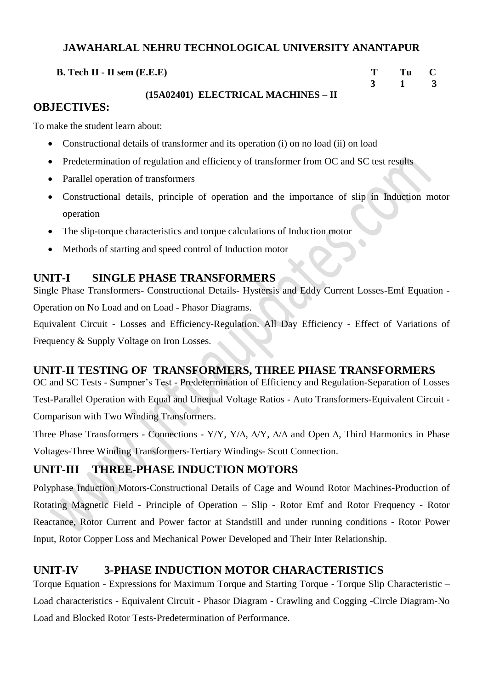**B.** Tech **II** - **II** sem (**E.E.E**) **T** Tu C

# **3 1 3**

## **(15A02401) ELECTRICAL MACHINES – II**

# **OBJECTIVES:**

To make the student learn about:

- Constructional details of transformer and its operation (i) on no load (ii) on load
- Predetermination of regulation and efficiency of transformer from OC and SC test results
- Parallel operation of transformers
- Constructional details, principle of operation and the importance of slip in Induction motor operation
- The slip-torque characteristics and torque calculations of Induction motor
- Methods of starting and speed control of Induction motor

# **UNIT-I SINGLE PHASE TRANSFORMERS**

Single Phase Transformers- Constructional Details- Hystersis and Eddy Current Losses-Emf Equation - Operation on No Load and on Load - Phasor Diagrams.

Equivalent Circuit - Losses and Efficiency-Regulation. All Day Efficiency - Effect of Variations of Frequency & Supply Voltage on Iron Losses.

# **UNIT-II TESTING OF TRANSFORMERS, THREE PHASE TRANSFORMERS**

OC and SC Tests - Sumpner's Test - Predetermination of Efficiency and Regulation-Separation of Losses Test-Parallel Operation with Equal and Unequal Voltage Ratios - Auto Transformers-Equivalent Circuit - Comparison with Two Winding Transformers.

Three Phase Transformers - Connections - Y/Y, Y/ $\Delta$ ,  $\Delta$ /Y,  $\Delta$ / $\Delta$  and Open  $\Delta$ , Third Harmonics in Phase Voltages-Three Winding Transformers-Tertiary Windings- Scott Connection.

# **UNIT-III THREE-PHASE INDUCTION MOTORS**

Polyphase Induction Motors-Constructional Details of Cage and Wound Rotor Machines-Production of Rotating Magnetic Field - Principle of Operation – Slip - Rotor Emf and Rotor Frequency - Rotor Reactance, Rotor Current and Power factor at Standstill and under running conditions - Rotor Power Input, Rotor Copper Loss and Mechanical Power Developed and Their Inter Relationship.

# **UNIT-IV 3-PHASE INDUCTION MOTOR CHARACTERISTICS**

Torque Equation - Expressions for Maximum Torque and Starting Torque - Torque Slip Characteristic – Load characteristics - Equivalent Circuit - Phasor Diagram - Crawling and Cogging -Circle Diagram-No Load and Blocked Rotor Tests-Predetermination of Performance.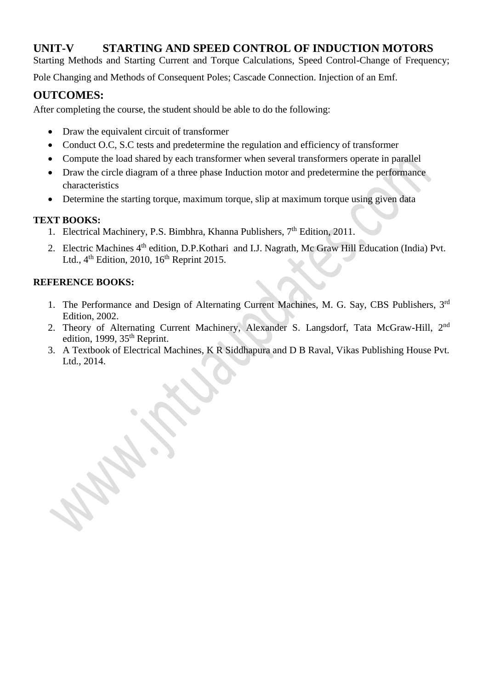# **UNIT-V STARTING AND SPEED CONTROL OF INDUCTION MOTORS**

Starting Methods and Starting Current and Torque Calculations, Speed Control-Change of Frequency;

Pole Changing and Methods of Consequent Poles; Cascade Connection. Injection of an Emf.

# **OUTCOMES:**

After completing the course, the student should be able to do the following:

- Draw the equivalent circuit of transformer
- Conduct O.C, S.C tests and predetermine the regulation and efficiency of transformer
- Compute the load shared by each transformer when several transformers operate in parallel
- Draw the circle diagram of a three phase Induction motor and predetermine the performance characteristics
- Determine the starting torque, maximum torque, slip at maximum torque using given data

## **TEXT BOOKS:**

- 1. Electrical Machinery, P.S. Bimbhra, Khanna Publishers, 7<sup>th</sup> Edition, 2011.
- 2. Electric Machines 4<sup>th</sup> edition, D.P.Kothari and I.J. Nagrath, Mc Graw Hill Education (India) Pvt. Ltd.,  $4<sup>th</sup>$  Edition, 2010,  $16<sup>th</sup>$  Reprint 2015.

# **REFERENCE BOOKS:**

- 1. The Performance and Design of Alternating Current Machines, M. G. Say, CBS Publishers, 3<sup>rd</sup> Edition, 2002.
- 2. Theory of Alternating Current Machinery, Alexander S. Langsdorf, Tata McGraw-Hill, 2<sup>nd</sup> edition, 1999,  $35<sup>th</sup>$  Reprint.
- 3. A Textbook of Electrical Machines, K R Siddhapura and D B Raval, Vikas Publishing House Pvt. Ltd., 2014.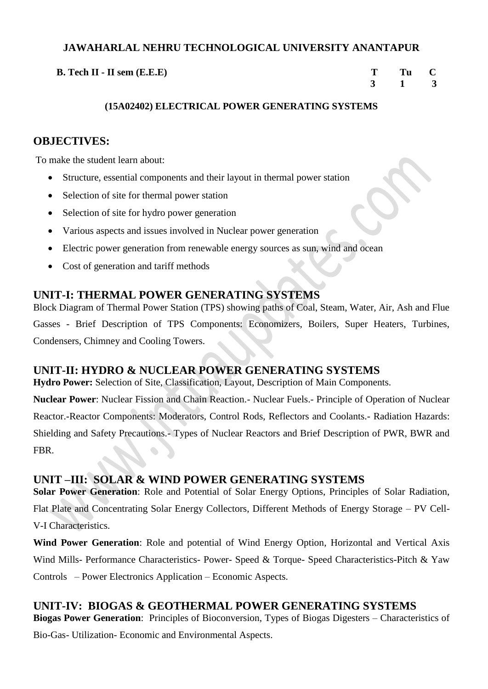**B.** Tech **II** - **II** sem (**E.E.E**) **T** Tu C

 **3 1 3**

## **(15A02402) ELECTRICAL POWER GENERATING SYSTEMS**

# **OBJECTIVES:**

To make the student learn about:

- Structure, essential components and their layout in thermal power station
- Selection of site for thermal power station
- Selection of site for hydro power generation
- Various aspects and issues involved in Nuclear power generation
- Electric power generation from renewable energy sources as sun, wind and ocean
- Cost of generation and tariff methods

# **UNIT-I: THERMAL POWER GENERATING SYSTEMS**

Block Diagram of Thermal Power Station (TPS) showing paths of Coal, Steam, Water, Air, Ash and Flue Gasses - Brief Description of TPS Components: Economizers, Boilers, Super Heaters, Turbines, Condensers, Chimney and Cooling Towers.

# **UNIT-II: HYDRO & NUCLEAR POWER GENERATING SYSTEMS**

**Hydro Power:** Selection of Site, Classification, Layout, Description of Main Components.

**Nuclear Power**: Nuclear Fission and Chain Reaction.- Nuclear Fuels.- Principle of Operation of Nuclear Reactor.-Reactor Components: Moderators, Control Rods, Reflectors and Coolants.- Radiation Hazards: Shielding and Safety Precautions.- Types of Nuclear Reactors and Brief Description of PWR, BWR and FBR.

# **UNIT –III: SOLAR & WIND POWER GENERATING SYSTEMS**

**Solar Power Generation**: Role and Potential of Solar Energy Options, Principles of Solar Radiation, Flat Plate and Concentrating Solar Energy Collectors, Different Methods of Energy Storage – PV Cell-V-I Characteristics.

**Wind Power Generation**: Role and potential of Wind Energy Option, Horizontal and Vertical Axis Wind Mills- Performance Characteristics- Power- Speed & Torque- Speed Characteristics-Pitch & Yaw Controls – Power Electronics Application – Economic Aspects.

# **UNIT-IV: BIOGAS & GEOTHERMAL POWER GENERATING SYSTEMS**

**Biogas Power Generation**: Principles of Bioconversion, Types of Biogas Digesters – Characteristics of Bio-Gas- Utilization- Economic and Environmental Aspects.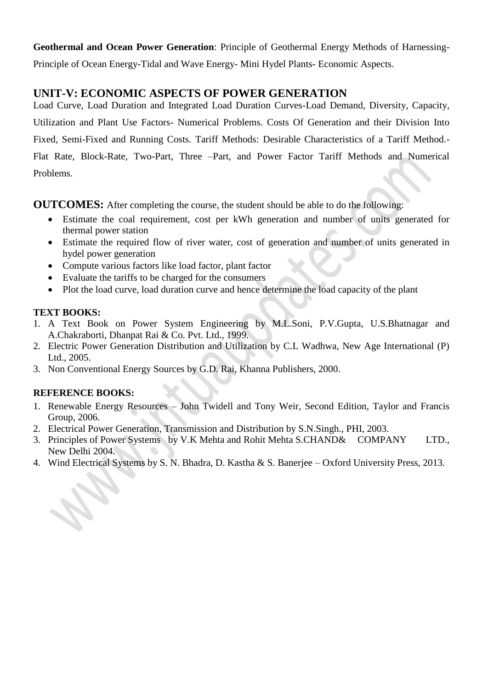**Geothermal and Ocean Power Generation**: Principle of Geothermal Energy Methods of Harnessing-Principle of Ocean Energy-Tidal and Wave Energy- Mini Hydel Plants- Economic Aspects.

# **UNIT-V: ECONOMIC ASPECTS OF POWER GENERATION**

Load Curve, Load Duration and Integrated Load Duration Curves-Load Demand, Diversity, Capacity, Utilization and Plant Use Factors- Numerical Problems. Costs Of Generation and their Division Into Fixed, Semi-Fixed and Running Costs. Tariff Methods: Desirable Characteristics of a Tariff Method.- Flat Rate, Block-Rate, Two-Part, Three –Part, and Power Factor Tariff Methods and Numerical Problems.

**OUTCOMES:** After completing the course, the student should be able to do the following:

- Estimate the coal requirement, cost per kWh generation and number of units generated for thermal power station
- Estimate the required flow of river water, cost of generation and number of units generated in hydel power generation
- Compute various factors like load factor, plant factor
- Evaluate the tariffs to be charged for the consumers
- Plot the load curve, load duration curve and hence determine the load capacity of the plant

# **TEXT BOOKS:**

- 1. A Text Book on Power System Engineering by M.L.Soni, P.V.Gupta, U.S.Bhatnagar and A.Chakraborti, Dhanpat Rai & Co. Pvt. Ltd., 1999.
- 2. Electric Power Generation Distribution and Utilization by C.L Wadhwa, New Age International (P) Ltd., 2005.
- 3. Non Conventional Energy Sources by G.D. Rai, Khanna Publishers, 2000.

# **REFERENCE BOOKS:**

- 1. Renewable Energy Resources John Twidell and Tony Weir, Second Edition, Taylor and Francis Group, 2006.
- 2. Electrical Power Generation, Transmission and Distribution by S.N.Singh., PHI, 2003.
- 3. Principles of Power Systemsby V.K Mehta and Rohit Mehta S.CHAND& COMPANY LTD., New Delhi 2004.
- 4. Wind Electrical Systems by S. N. Bhadra, D. Kastha & S. Banerjee Oxford University Press, 2013.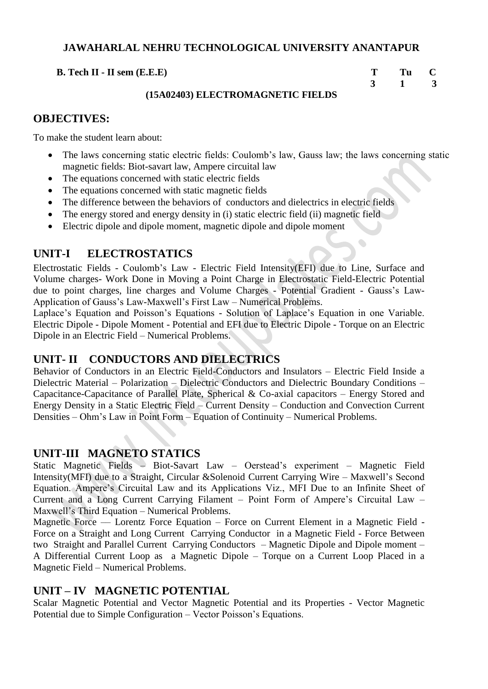**B.** Tech **II** - **II** sem (**E.E.E**) **T** Tu C

 **3 1 3**

 $\bullet$ 

## **(15A02403) ELECTROMAGNETIC FIELDS**

# **OBJECTIVES:**

To make the student learn about:

- The laws concerning static electric fields: Coulomb's law, Gauss law; the laws concerning static magnetic fields: Biot-savart law, Ampere circuital law
- The equations concerned with static electric fields
- The equations concerned with static magnetic fields
- The difference between the behaviors of conductors and dielectrics in electric fields
- The energy stored and energy density in (i) static electric field (ii) magnetic field
- Electric dipole and dipole moment, magnetic dipole and dipole moment

# **UNIT-I ELECTROSTATICS**

Electrostatic Fields - Coulomb's Law - Electric Field Intensity(EFI) due to Line, Surface and Volume charges- Work Done in Moving a Point Charge in Electrostatic Field-Electric Potential due to point charges, line charges and Volume Charges - Potential Gradient - Gauss's Law-Application of Gauss's Law-Maxwell's First Law – Numerical Problems.

Laplace's Equation and Poisson's Equations - Solution of Laplace's Equation in one Variable. Electric Dipole - Dipole Moment - Potential and EFI due to Electric Dipole - Torque on an Electric Dipole in an Electric Field – Numerical Problems.

# **UNIT- II CONDUCTORS AND DIELECTRICS**

Behavior of Conductors in an Electric Field-Conductors and Insulators – Electric Field Inside a Dielectric Material – Polarization – Dielectric Conductors and Dielectric Boundary Conditions – Capacitance-Capacitance of Parallel Plate, Spherical & Co-axial capacitors – Energy Stored and Energy Density in a Static Electric Field – Current Density – Conduction and Convection Current Densities – Ohm's Law in Point Form – Equation of Continuity – Numerical Problems.

# **UNIT-III MAGNETO STATICS**

Static Magnetic Fields – Biot-Savart Law – Oerstead's experiment – Magnetic Field Intensity(MFI) due to a Straight, Circular &Solenoid Current Carrying Wire – Maxwell's Second Equation. Ampere's Circuital Law and its Applications Viz., MFI Due to an Infinite Sheet of Current and a Long Current Carrying Filament – Point Form of Ampere's Circuital Law – Maxwell's Third Equation – Numerical Problems.

Magnetic Force –– Lorentz Force Equation – Force on Current Element in a Magnetic Field -Force on a Straight and Long Current Carrying Conductor in a Magnetic Field - Force Between two Straight and Parallel Current Carrying Conductors – Magnetic Dipole and Dipole moment – A Differential Current Loop as a Magnetic Dipole – Torque on a Current Loop Placed in a Magnetic Field – Numerical Problems.

## **UNIT – IV MAGNETIC POTENTIAL**

Scalar Magnetic Potential and Vector Magnetic Potential and its Properties - Vector Magnetic Potential due to Simple Configuration – Vector Poisson's Equations.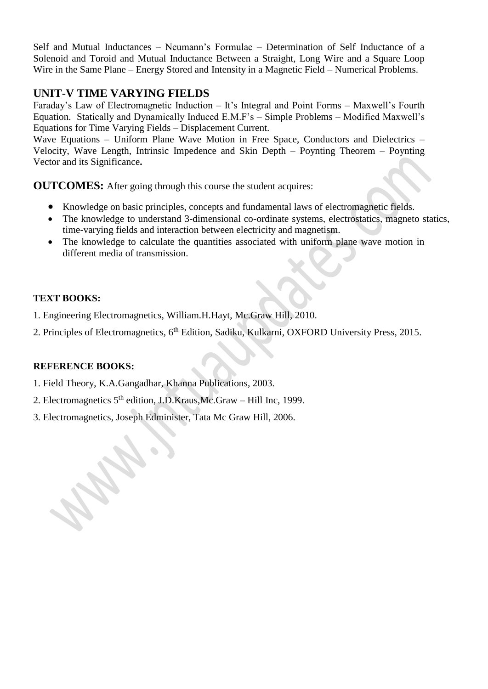Self and Mutual Inductances – Neumann's Formulae – Determination of Self Inductance of a Solenoid and Toroid and Mutual Inductance Between a Straight, Long Wire and a Square Loop Wire in the Same Plane – Energy Stored and Intensity in a Magnetic Field – Numerical Problems.

# **UNIT-V TIME VARYING FIELDS**

Faraday's Law of Electromagnetic Induction – It's Integral and Point Forms – Maxwell's Fourth Equation. Statically and Dynamically Induced E.M.F's – Simple Problems – Modified Maxwell's Equations for Time Varying Fields – Displacement Current.

Wave Equations – Uniform Plane Wave Motion in Free Space, Conductors and Dielectrics – Velocity, Wave Length, Intrinsic Impedence and Skin Depth – Poynting Theorem – Poynting Vector and its Significance**.**

**OUTCOMES:** After going through this course the student acquires:

- Knowledge on basic principles, concepts and fundamental laws of electromagnetic fields.
- The knowledge to understand 3-dimensional co-ordinate systems, electrostatics, magneto statics, time-varying fields and interaction between electricity and magnetism.
- The knowledge to calculate the quantities associated with uniform plane wave motion in different media of transmission.

## **TEXT BOOKS:**

- 1. Engineering Electromagnetics, William.H.Hayt, Mc.Graw Hill, 2010.
- 2. Principles of Electromagnetics, 6<sup>th</sup> Edition, Sadiku, Kulkarni, OXFORD University Press, 2015.

## **REFERENCE BOOKS:**

- 1. Field Theory, K.A.Gangadhar, Khanna Publications, 2003.
- 2. Electromagnetics 5<sup>th</sup> edition, J.D.Kraus,Mc.Graw Hill Inc, 1999.
- 3. Electromagnetics, Joseph Edminister, Tata Mc Graw Hill, 2006.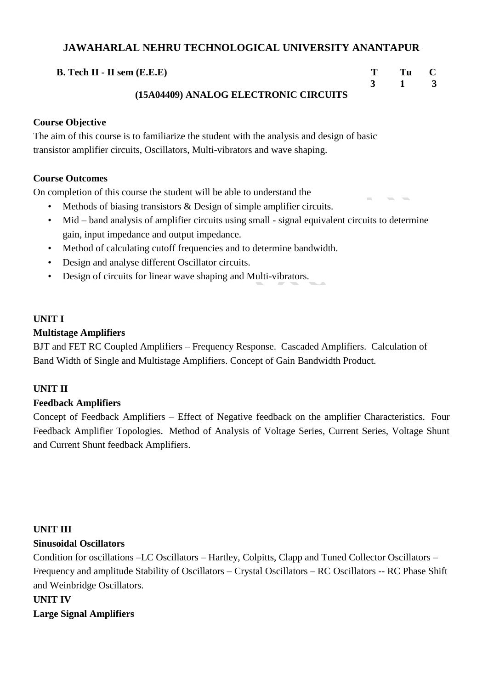## **B.** Tech **II** - **II** sem (**E.E.E**) **T** Tu C

# **3 1 3**

## **(15A04409) ANALOG ELECTRONIC CIRCUITS**

## **Course Objective**

The aim of this course is to familiarize the student with the analysis and design of basic transistor amplifier circuits, Oscillators, Multi-vibrators and wave shaping.

## **Course Outcomes**

On completion of this course the student will be able to understand the

- Methods of biasing transistors & Design of simple amplifier circuits.
- Mid band analysis of amplifier circuits using small signal equivalent circuits to determine gain, input impedance and output impedance.
- Method of calculating cutoff frequencies and to determine bandwidth.
- Design and analyse different Oscillator circuits.
- Design of circuits for linear wave shaping and Multi-vibrators.

## **UNIT I**

## **Multistage Amplifiers**

BJT and FET RC Coupled Amplifiers – Frequency Response. Cascaded Amplifiers. Calculation of Band Width of Single and Multistage Amplifiers. Concept of Gain Bandwidth Product.

## **UNIT II**

## **Feedback Amplifiers**

Concept of Feedback Amplifiers – Effect of Negative feedback on the amplifier Characteristics. Four Feedback Amplifier Topologies. Method of Analysis of Voltage Series, Current Series, Voltage Shunt and Current Shunt feedback Amplifiers.

## **UNIT III**

## **Sinusoidal Oscillators**

Condition for oscillations –LC Oscillators – Hartley, Colpitts, Clapp and Tuned Collector Oscillators – Frequency and amplitude Stability of Oscillators – Crystal Oscillators – RC Oscillators -- RC Phase Shift and Weinbridge Oscillators.

## **UNIT IV**

**Large Signal Amplifiers**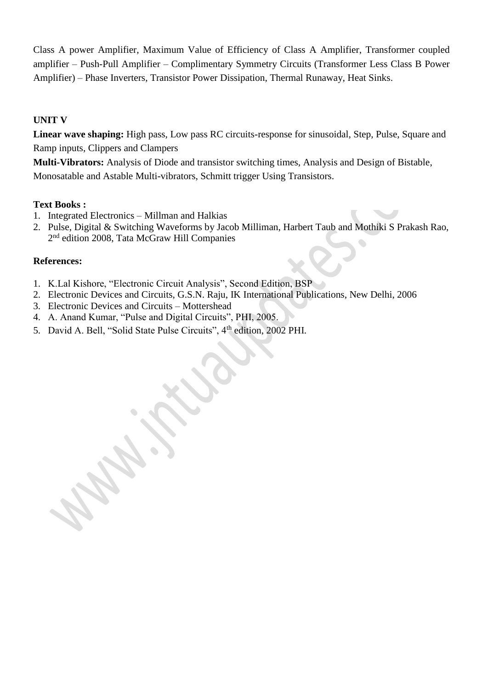Class A power Amplifier, Maximum Value of Efficiency of Class A Amplifier, Transformer coupled amplifier – Push-Pull Amplifier – Complimentary Symmetry Circuits (Transformer Less Class B Power Amplifier) – Phase Inverters, Transistor Power Dissipation, Thermal Runaway, Heat Sinks.

## **UNIT V**

**Linear wave shaping:** High pass, Low pass RC circuits-response for sinusoidal, Step, Pulse, Square and Ramp inputs, Clippers and Clampers

**Multi-Vibrators:** Analysis of Diode and transistor switching times, Analysis and Design of Bistable, Monosatable and Astable Multi-vibrators, Schmitt trigger Using Transistors.

#### **Text Books :**

- 1. Integrated Electronics Millman and Halkias
- 2. Pulse, Digital & Switching Waveforms by Jacob Milliman, Harbert Taub and Mothiki S Prakash Rao, 2<sup>nd</sup> edition 2008, Tata McGraw Hill Companies

## **References:**

- 1. K.Lal Kishore, "Electronic Circuit Analysis", Second Edition, BSP
- 2. Electronic Devices and Circuits, G.S.N. Raju, IK International Publications, New Delhi, 2006
- 3. Electronic Devices and Circuits Mottershead
- 4. A. Anand Kumar, "Pulse and Digital Circuits", PHI, 2005.
- 5. David A. Bell, "Solid State Pulse Circuits", 4<sup>th</sup> edition, 2002 PHI.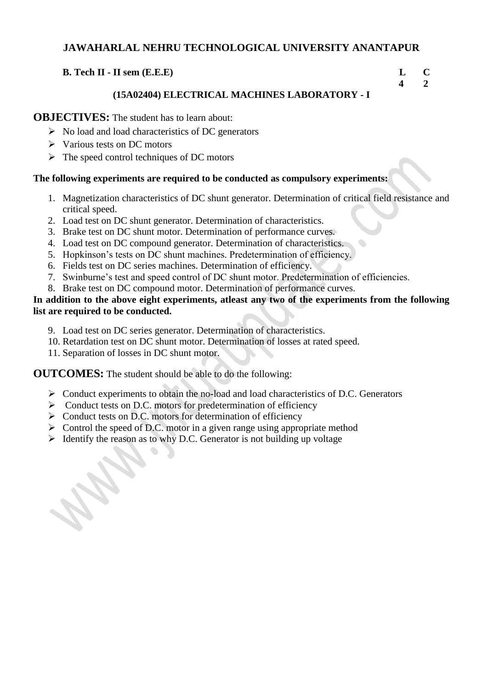## **B. Tech II - II sem (E.E.E) L C**

 **4 2** 

## **(15A02404) ELECTRICAL MACHINES LABORATORY - I**

## **OBJECTIVES:** The student has to learn about:

- ➢ No load and load characteristics of DC generators
- ➢ Various tests on DC motors
- ➢ The speed control techniques of DC motors

## **The following experiments are required to be conducted as compulsory experiments:**

- 1. Magnetization characteristics of DC shunt generator. Determination of critical field resistance and critical speed.
- 2. Load test on DC shunt generator. Determination of characteristics.
- 3. Brake test on DC shunt motor. Determination of performance curves.
- 4. Load test on DC compound generator. Determination of characteristics.
- 5. Hopkinson's tests on DC shunt machines. Predetermination of efficiency.
- 6. Fields test on DC series machines. Determination of efficiency.
- 7. Swinburne's test and speed control of DC shunt motor. Predetermination of efficiencies.
- 8. Brake test on DC compound motor. Determination of performance curves.

## **In addition to the above eight experiments, atleast any two of the experiments from the following list are required to be conducted.**

- 9. Load test on DC series generator. Determination of characteristics.
- 10. Retardation test on DC shunt motor. Determination of losses at rated speed.
- 11. Separation of losses in DC shunt motor.

**OUTCOMES:** The student should be able to do the following:

- ➢ Conduct experiments to obtain the no-load and load characteristics of D.C. Generators
- ➢ Conduct tests on D.C. motors for predetermination of efficiency
- ➢ Conduct tests on D.C. motors for determination of efficiency
- $\triangleright$  Control the speed of D.C. motor in a given range using appropriate method
- ➢ Identify the reason as to why D.C. Generator is not building up voltage